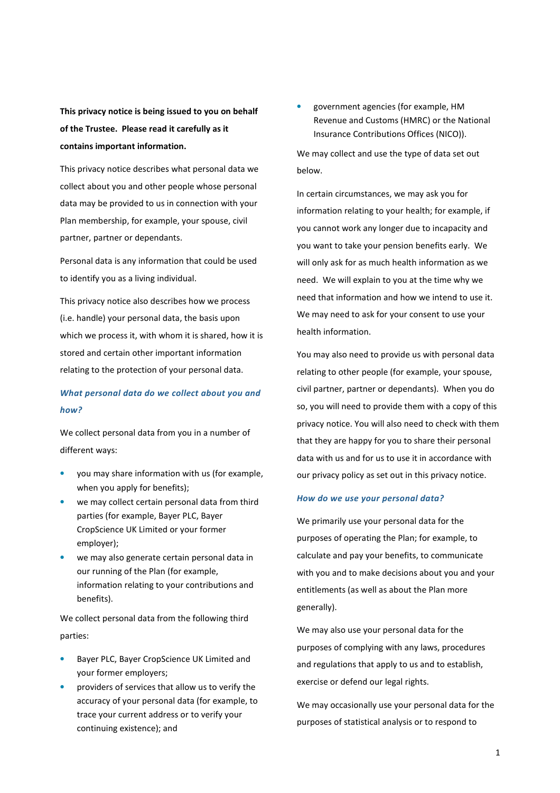**This privacy notice is being issued to you on behalf of the Trustee. Please read it carefully as it contains important information.** 

This privacy notice describes what personal data we collect about you and other people whose personal data may be provided to us in connection with your Plan membership, for example, your spouse, civil partner, partner or dependants.

Personal data is any information that could be used to identify you as a living individual.

This privacy notice also describes how we process (i.e. handle) your personal data, the basis upon which we process it, with whom it is shared, how it is stored and certain other important information relating to the protection of your personal data.

## *What personal data do we collect about you and how?*

We collect personal data from you in a number of different ways:

- you may share information with us (for example, when you apply for benefits);
- we may collect certain personal data from third parties (for example, Bayer PLC, Bayer CropScience UK Limited or your former employer);
- we may also generate certain personal data in our running of the Plan (for example, information relating to your contributions and benefits).

We collect personal data from the following third parties:

- Bayer PLC, Bayer CropScience UK Limited and your former employers;
- providers of services that allow us to verify the accuracy of your personal data (for example, to trace your current address or to verify your continuing existence); and

• government agencies (for example, HM Revenue and Customs (HMRC) or the National Insurance Contributions Offices (NICO)).

We may collect and use the type of data set out below.

In certain circumstances, we may ask you for information relating to your health; for example, if you cannot work any longer due to incapacity and you want to take your pension benefits early. We will only ask for as much health information as we need. We will explain to you at the time why we need that information and how we intend to use it. We may need to ask for your consent to use your health information.

You may also need to provide us with personal data relating to other people (for example, your spouse, civil partner, partner or dependants). When you do so, you will need to provide them with a copy of this privacy notice. You will also need to check with them that they are happy for you to share their personal data with us and for us to use it in accordance with our privacy policy as set out in this privacy notice.

#### *How do we use your personal data?*

We primarily use your personal data for the purposes of operating the Plan; for example, to calculate and pay your benefits, to communicate with you and to make decisions about you and your entitlements (as well as about the Plan more generally).

We may also use your personal data for the purposes of complying with any laws, procedures and regulations that apply to us and to establish, exercise or defend our legal rights.

We may occasionally use your personal data for the purposes of statistical analysis or to respond to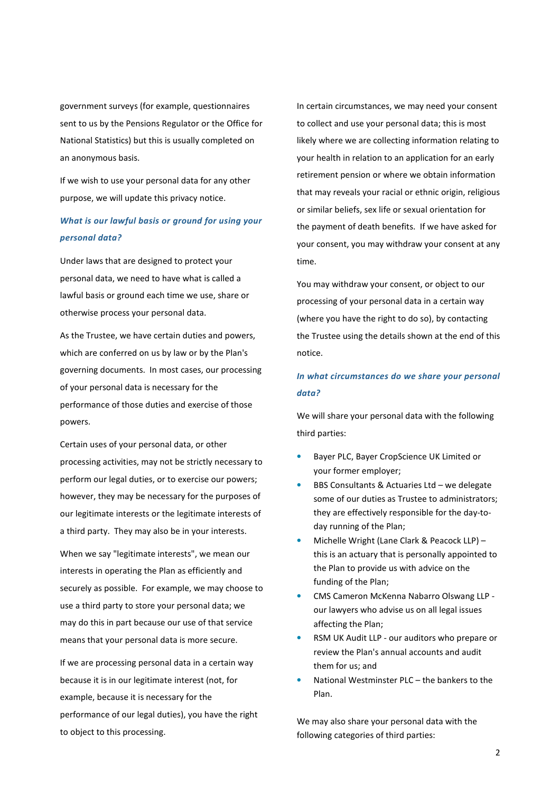government surveys (for example, questionnaires sent to us by the Pensions Regulator or the Office for National Statistics) but this is usually completed on an anonymous basis.

If we wish to use your personal data for any other purpose, we will update this privacy notice.

# *What is our lawful basis or ground for using your personal data?*

Under laws that are designed to protect your personal data, we need to have what is called a lawful basis or ground each time we use, share or otherwise process your personal data.

As the Trustee, we have certain duties and powers, which are conferred on us by law or by the Plan's governing documents. In most cases, our processing of your personal data is necessary for the performance of those duties and exercise of those powers.

Certain uses of your personal data, or other processing activities, may not be strictly necessary to perform our legal duties, or to exercise our powers; however, they may be necessary for the purposes of our legitimate interests or the legitimate interests of a third party. They may also be in your interests.

When we say "legitimate interests", we mean our interests in operating the Plan as efficiently and securely as possible. For example, we may choose to use a third party to store your personal data; we may do this in part because our use of that service means that your personal data is more secure.

If we are processing personal data in a certain way because it is in our legitimate interest (not, for example, because it is necessary for the performance of our legal duties), you have the right to object to this processing.

In certain circumstances, we may need your consent to collect and use your personal data; this is most likely where we are collecting information relating to your health in relation to an application for an early retirement pension or where we obtain information that may reveals your racial or ethnic origin, religious or similar beliefs, sex life or sexual orientation for the payment of death benefits. If we have asked for your consent, you may withdraw your consent at any time.

You may withdraw your consent, or object to our processing of your personal data in a certain way (where you have the right to do so), by contacting the Trustee using the details shown at the end of this notice.

## *In what circumstances do we share your personal data?*

We will share your personal data with the following third parties:

- Bayer PLC, Bayer CropScience UK Limited or your former employer;
- BBS Consultants & Actuaries Ltd we delegate some of our duties as Trustee to administrators; they are effectively responsible for the day-today running of the Plan;
- Michelle Wright (Lane Clark & Peacock LLP) this is an actuary that is personally appointed to the Plan to provide us with advice on the funding of the Plan;
- CMS Cameron McKenna Nabarro Olswang LLP our lawyers who advise us on all legal issues affecting the Plan;
- RSM UK Audit LLP our auditors who prepare or review the Plan's annual accounts and audit them for us; and
- National Westminster PLC the bankers to the Plan.

We may also share your personal data with the following categories of third parties: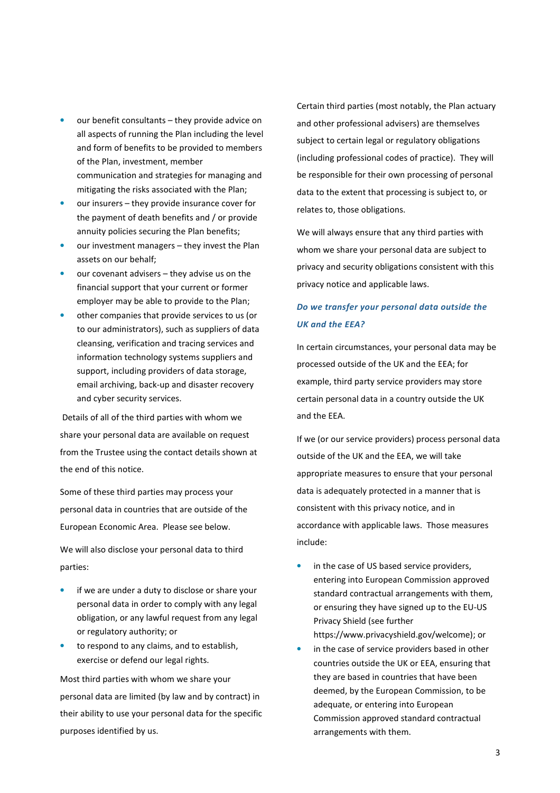- our benefit consultants they provide advice on all aspects of running the Plan including the level and form of benefits to be provided to members of the Plan, investment, member communication and strategies for managing and mitigating the risks associated with the Plan;
- our insurers they provide insurance cover for the payment of death benefits and / or provide annuity policies securing the Plan benefits;
- our investment managers they invest the Plan assets on our behalf;
- our covenant advisers they advise us on the financial support that your current or former employer may be able to provide to the Plan;
- other companies that provide services to us (or to our administrators), such as suppliers of data cleansing, verification and tracing services and information technology systems suppliers and support, including providers of data storage, email archiving, back-up and disaster recovery and cyber security services.

 Details of all of the third parties with whom we share your personal data are available on request from the Trustee using the contact details shown at the end of this notice.

Some of these third parties may process your personal data in countries that are outside of the European Economic Area. Please see below.

We will also disclose your personal data to third parties:

- if we are under a duty to disclose or share your personal data in order to comply with any legal obligation, or any lawful request from any legal or regulatory authority; or
- to respond to any claims, and to establish, exercise or defend our legal rights.

Most third parties with whom we share your personal data are limited (by law and by contract) in their ability to use your personal data for the specific purposes identified by us.

Certain third parties (most notably, the Plan actuary and other professional advisers) are themselves subject to certain legal or regulatory obligations (including professional codes of practice). They will be responsible for their own processing of personal data to the extent that processing is subject to, or relates to, those obligations.

We will always ensure that any third parties with whom we share your personal data are subject to privacy and security obligations consistent with this privacy notice and applicable laws.

# *Do we transfer your personal data outside the UK and the EEA?*

In certain circumstances, your personal data may be processed outside of the UK and the EEA; for example, third party service providers may store certain personal data in a country outside the UK and the EEA.

If we (or our service providers) process personal data outside of the UK and the EEA, we will take appropriate measures to ensure that your personal data is adequately protected in a manner that is consistent with this privacy notice, and in accordance with applicable laws. Those measures include:

- in the case of US based service providers, entering into European Commission approved standard contractual arrangements with them, or ensuring they have signed up to the EU-US Privacy Shield (see further https://www.privacyshield.gov/welcome); or
- in the case of service providers based in other countries outside the UK or EEA, ensuring that they are based in countries that have been deemed, by the European Commission, to be adequate, or entering into European Commission approved standard contractual arrangements with them.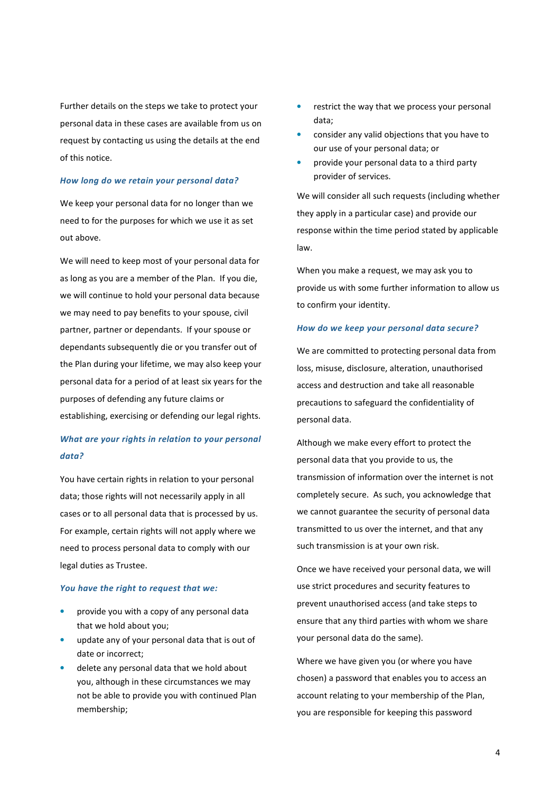Further details on the steps we take to protect your personal data in these cases are available from us on request by contacting us using the details at the end of this notice.

### *How long do we retain your personal data?*

We keep your personal data for no longer than we need to for the purposes for which we use it as set out above.

We will need to keep most of your personal data for as long as you are a member of the Plan. If you die, we will continue to hold your personal data because we may need to pay benefits to your spouse, civil partner, partner or dependants. If your spouse or dependants subsequently die or you transfer out of the Plan during your lifetime, we may also keep your personal data for a period of at least six years for the purposes of defending any future claims or establishing, exercising or defending our legal rights.

## *What are your rights in relation to your personal data?*

You have certain rights in relation to your personal data; those rights will not necessarily apply in all cases or to all personal data that is processed by us. For example, certain rights will not apply where we need to process personal data to comply with our legal duties as Trustee.

#### *You have the right to request that we:*

- provide you with a copy of any personal data that we hold about you;
- update any of your personal data that is out of date or incorrect;
- delete any personal data that we hold about you, although in these circumstances we may not be able to provide you with continued Plan membership;
- restrict the way that we process your personal data;
- consider any valid objections that you have to our use of your personal data; or
- provide your personal data to a third party provider of services.

We will consider all such requests (including whether they apply in a particular case) and provide our response within the time period stated by applicable law.

When you make a request, we may ask you to provide us with some further information to allow us to confirm your identity.

### *How do we keep your personal data secure?*

We are committed to protecting personal data from loss, misuse, disclosure, alteration, unauthorised access and destruction and take all reasonable precautions to safeguard the confidentiality of personal data.

Although we make every effort to protect the personal data that you provide to us, the transmission of information over the internet is not completely secure. As such, you acknowledge that we cannot guarantee the security of personal data transmitted to us over the internet, and that any such transmission is at your own risk.

Once we have received your personal data, we will use strict procedures and security features to prevent unauthorised access (and take steps to ensure that any third parties with whom we share your personal data do the same).

Where we have given you (or where you have chosen) a password that enables you to access an account relating to your membership of the Plan, you are responsible for keeping this password